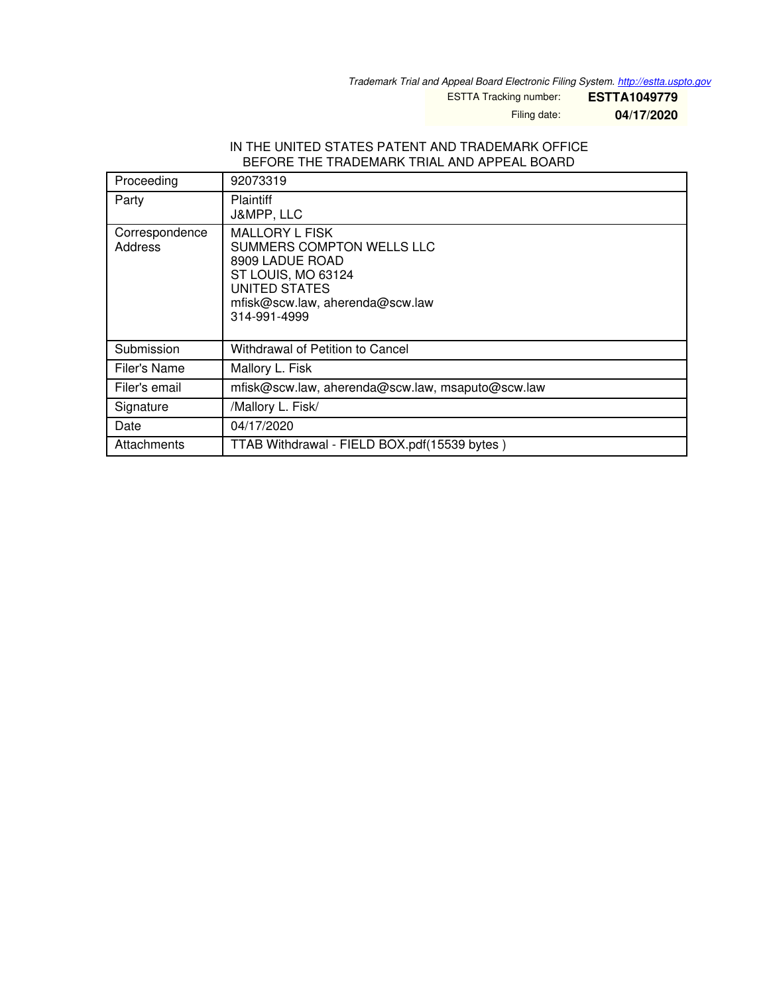*Trademark Trial and Appeal Board Electronic Filing System. <http://estta.uspto.gov>*

ESTTA Tracking number: **ESTTA1049779**

Filing date: **04/17/2020**

## IN THE UNITED STATES PATENT AND TRADEMARK OFFICE BEFORE THE TRADEMARK TRIAL AND APPEAL BOARD

| Proceeding                | 92073319                                                                                                                                                        |  |  |
|---------------------------|-----------------------------------------------------------------------------------------------------------------------------------------------------------------|--|--|
| Party                     | <b>Plaintiff</b><br>J&MPP, LLC                                                                                                                                  |  |  |
| Correspondence<br>Address | <b>MALLORY L FISK</b><br>SUMMERS COMPTON WELLS LLC<br>8909 LADUE ROAD<br>ST LOUIS, MO 63124<br>UNITED STATES<br>mfisk@scw.law, aherenda@scw.law<br>314-991-4999 |  |  |
| Submission                | Withdrawal of Petition to Cancel                                                                                                                                |  |  |
| Filer's Name              | Mallory L. Fisk                                                                                                                                                 |  |  |
| Filer's email             | mfisk@scw.law, aherenda@scw.law, msaputo@scw.law                                                                                                                |  |  |
| Signature                 | /Mallory L. Fisk/                                                                                                                                               |  |  |
| Date                      | 04/17/2020                                                                                                                                                      |  |  |
| Attachments               | TTAB Withdrawal - FIELD BOX.pdf(15539 bytes)                                                                                                                    |  |  |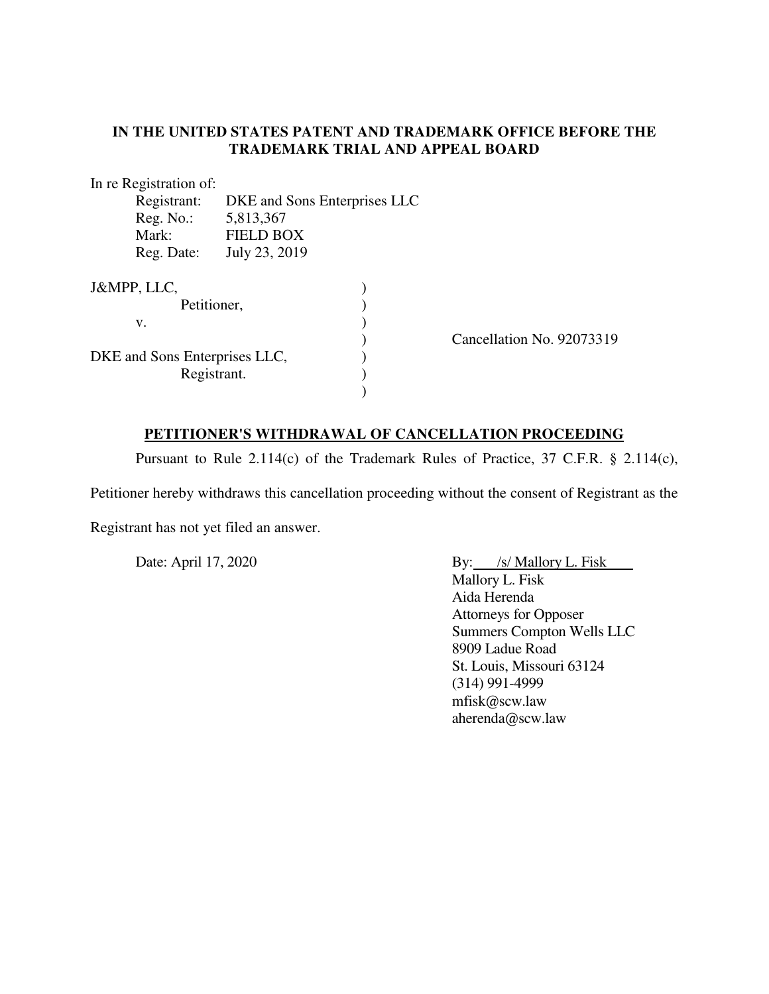## **IN THE UNITED STATES PATENT AND TRADEMARK OFFICE BEFORE THE TRADEMARK TRIAL AND APPEAL BOARD**

In re Registration of:

| Registrant:<br>DKE and Sons Enterprises LLC |                  |                           |
|---------------------------------------------|------------------|---------------------------|
| Reg. No.:                                   | 5,813,367        |                           |
| Mark:                                       | <b>FIELD BOX</b> |                           |
| Reg. Date:                                  | July 23, 2019    |                           |
| J&MPP, LLC,                                 |                  |                           |
| Petitioner,                                 |                  |                           |
| v.                                          |                  |                           |
|                                             |                  | Cancellation No. 92073319 |
| DKE and Sons Enterprises LLC,               |                  |                           |
| Registrant.                                 |                  |                           |
|                                             |                  |                           |

## **PETITIONER'S WITHDRAWAL OF CANCELLATION PROCEEDING**

Pursuant to Rule 2.114(c) of the Trademark Rules of Practice, 37 C.F.R. § 2.114(c),

Petitioner hereby withdraws this cancellation proceeding without the consent of Registrant as the

Registrant has not yet filed an answer.

Date: April 17, 2020 By: /s/ Mallory L. Fisk Mallory L. Fisk Aida Herenda Attorneys for Opposer Summers Compton Wells LLC 8909 Ladue Road St. Louis, Missouri 63124 (314) 991-4999 [mfisk@scw.law](mailto:mfisk@scw.law) [aherenda@scw.law](mailto:aherenda@scw.law)